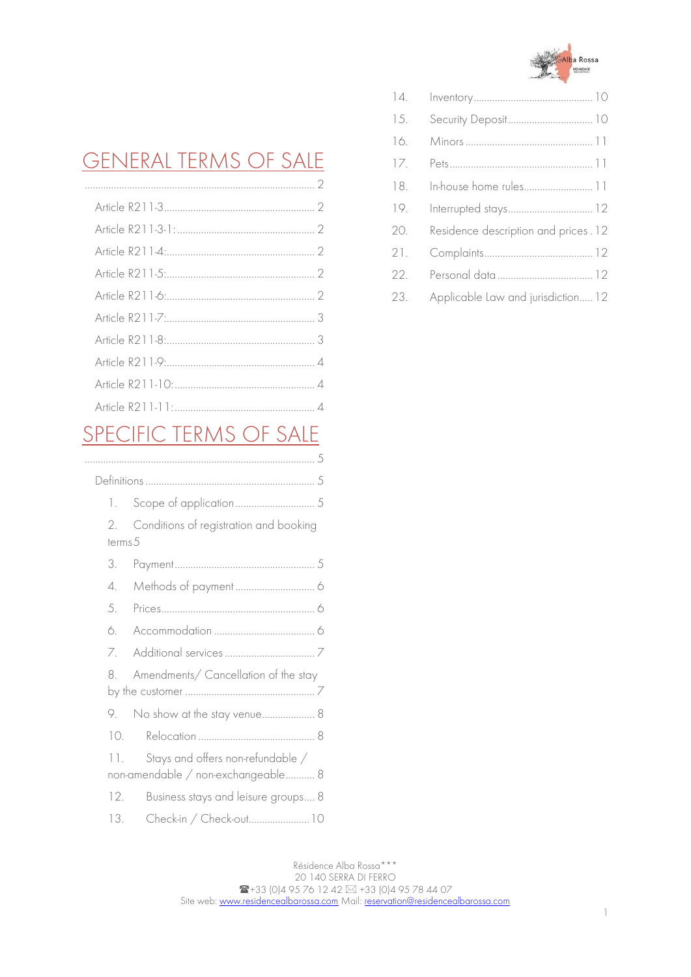

## [GENERAL TERMS OF SALE](#page-1-0)

# [SPECIFIC TERMS OF SALE](#page-4-0)

| 1.        |                                        |
|-----------|----------------------------------------|
| 2.        | Conditions of registration and booking |
| terms.5   |                                        |
| 3.        |                                        |
| 4.        |                                        |
| .5.       |                                        |
| 6.        |                                        |
| 7.        |                                        |
| 8         | Amendments/ Cancellation of the stay   |
|           |                                        |
| 9.        | No show at the stay venue 8            |
| $10^{-7}$ |                                        |
| 11.       | Stays and offers non-refundable /      |
|           | non-amendable / non-exchangeable 8     |
| 12.       | Business stays and leisure groups 8    |
| 13.       | Check-in / Check-out10                 |

| 14. |                                      |
|-----|--------------------------------------|
| 15. |                                      |
| 16. |                                      |
| 17. |                                      |
| 18. | In-house home rules 11               |
| 19. | Interrupted stays 12                 |
| 20. | Residence description and prices. 12 |
| 21. |                                      |
| 22. |                                      |
| 23. | Applicable Law and jurisdiction 12   |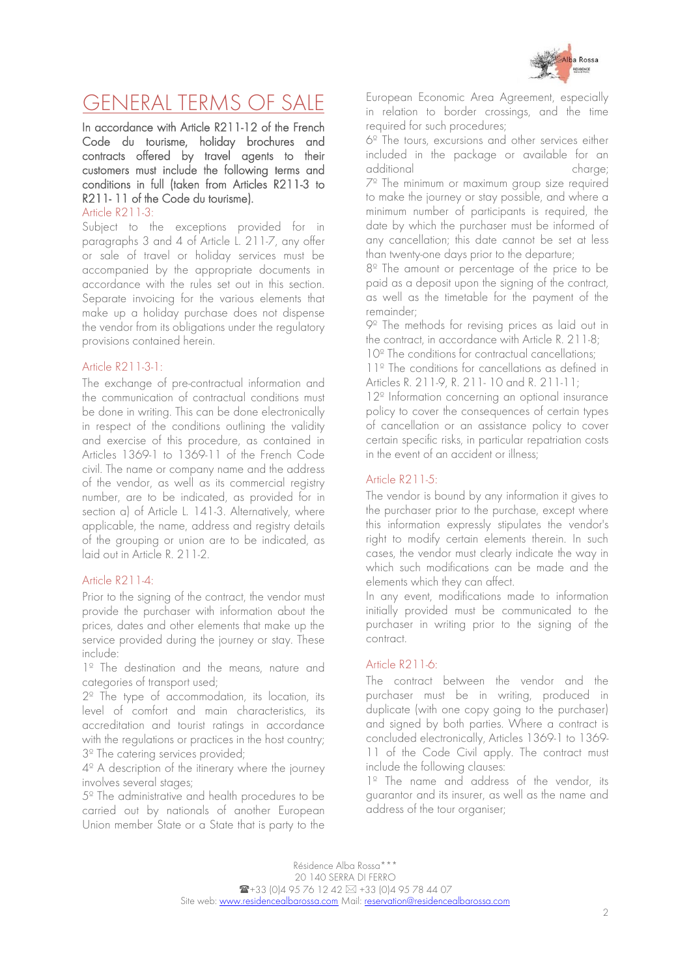

# <span id="page-1-0"></span>GENERAL TERMS OF SALE

In accordance with Article R211-12 of the French Code du tourisme, holiday brochures and contracts offered by travel agents to their customers must include the following terms and conditions in full (taken from Articles R211-3 to R211- 11 of the Code du tourisme).

<span id="page-1-1"></span>Article R211-3:

Subject to the exceptions provided for in paragraphs 3 and 4 of Article L. 211-7, any offer or sale of travel or holiday services must be accompanied by the appropriate documents in accordance with the rules set out in this section. Separate invoicing for the various elements that make up a holiday purchase does not dispense the vendor from its obligations under the regulatory provisions contained herein.

#### <span id="page-1-2"></span>Article R211-3-1:

The exchange of pre-contractual information and the communication of contractual conditions must be done in writing. This can be done electronically in respect of the conditions outlining the validity and exercise of this procedure, as contained in Articles 1369-1 to 1369-11 of the French Code civil. The name or company name and the address of the vendor, as well as its commercial registry number, are to be indicated, as provided for in section a) of Article L. 141-3. Alternatively, where applicable, the name, address and registry details of the grouping or union are to be indicated, as laid out in Article R. 211-2.

## <span id="page-1-3"></span>Article R211-4:

Prior to the signing of the contract, the vendor must provide the purchaser with information about the prices, dates and other elements that make up the service provided during the journey or stay. These include:

1<sup>º</sup> The destination and the means, nature and categories of transport used;

2º The type of accommodation, its location, its level of comfort and main characteristics, its accreditation and tourist ratings in accordance with the regulations or practices in the host country; 3<sup>º</sup> The catering services provided;

4º A description of the itinerary where the journey involves several stages;

5º The administrative and health procedures to be carried out by nationals of another European Union member State or a State that is party to the European Economic Area Agreement, especially in relation to border crossings, and the time required for such procedures;

6º The tours, excursions and other services either included in the package or available for an additional charge; 7º The minimum or maximum group size required to make the journey or stay possible, and where a minimum number of participants is required, the date by which the purchaser must be informed of any cancellation; this date cannot be set at less than twenty-one days prior to the departure;

8º The amount or percentage of the price to be paid as a deposit upon the signing of the contract, as well as the timetable for the payment of the remainder;

9º The methods for revising prices as laid out in the contract, in accordance with Article R. 211-8;

10<sup>°</sup> The conditions for contractual cancellations;

11º The conditions for cancellations as defined in Articles R. 211-9, R. 211- 10 and R. 211-11;

12º Information concerning an optional insurance policy to cover the consequences of certain types of cancellation or an assistance policy to cover certain specific risks, in particular repatriation costs in the event of an accident or illness;

## <span id="page-1-4"></span>Article R211-5:

The vendor is bound by any information it gives to the purchaser prior to the purchase, except where this information expressly stipulates the vendor's right to modify certain elements therein. In such cases, the vendor must clearly indicate the way in which such modifications can be made and the elements which they can affect.

In any event, modifications made to information initially provided must be communicated to the purchaser in writing prior to the signing of the contract.

#### <span id="page-1-5"></span>Article R211-6:

The contract between the vendor and the purchaser must be in writing, produced in duplicate (with one copy going to the purchaser) and signed by both parties. Where a contract is concluded electronically, Articles 1369-1 to 1369- 11 of the Code Civil apply. The contract must include the following clauses:

1º The name and address of the vendor, its guarantor and its insurer, as well as the name and address of the tour organiser;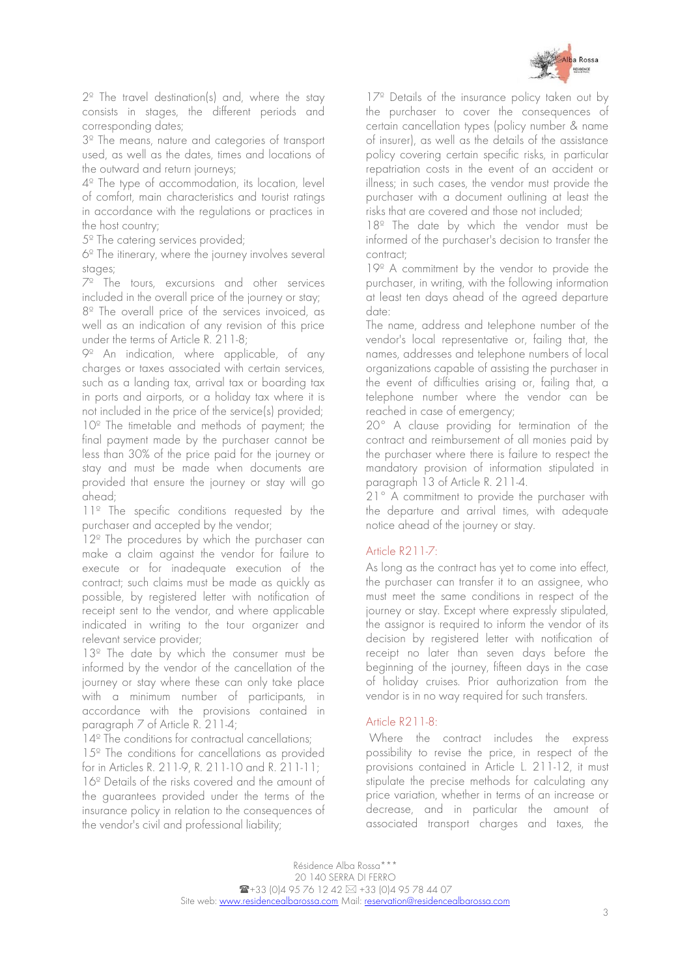

2º The travel destination(s) and, where the stay consists in stages, the different periods and corresponding dates;

3º The means, nature and categories of transport used, as well as the dates, times and locations of the outward and return journeys;

4º The type of accommodation, its location, level of comfort, main characteristics and tourist ratings in accordance with the regulations or practices in the host country;

5º The catering services provided;

6º The itinerary, where the journey involves several stages;

7º The tours, excursions and other services included in the overall price of the journey or stay; 8º The overall price of the services invoiced, as well as an indication of any revision of this price under the terms of Article R. 211-8:

9º An indication, where applicable, of any charges or taxes associated with certain services, such as a landing tax, arrival tax or boarding tax in ports and airports, or a holiday tax where it is not included in the price of the service(s) provided; 10<sup>°</sup> The timetable and methods of payment; the final payment made by the purchaser cannot be less than 30% of the price paid for the journey or stay and must be made when documents are provided that ensure the journey or stay will go ahead;

1<sup>1</sup> The specific conditions requested by the purchaser and accepted by the vendor;

12<sup>°</sup> The procedures by which the purchaser can make a claim against the vendor for failure to execute or for inadequate execution of the contract; such claims must be made as quickly as possible, by registered letter with notification of receipt sent to the vendor, and where applicable indicated in writing to the tour organizer and relevant service provider;

13<sup>°</sup> The date by which the consumer must be informed by the vendor of the cancellation of the journey or stay where these can only take place with a minimum number of participants, in accordance with the provisions contained in paragraph 7 of Article R. 211-4;

14<sup>°</sup> The conditions for contractual cancellations; 15<sup>°</sup> The conditions for cancellations as provided for in Articles R. 211-9, R. 211-10 and R. 211-11; 16º Details of the risks covered and the amount of the guarantees provided under the terms of the insurance policy in relation to the consequences of the vendor's civil and professional liability;

17<sup>°</sup> Details of the insurance policy taken out by the purchaser to cover the consequences of certain cancellation types (policy number & name of insurer), as well as the details of the assistance policy covering certain specific risks, in particular repatriation costs in the event of an accident or illness; in such cases, the vendor must provide the purchaser with a document outlining at least the risks that are covered and those not included;

18<sup>°</sup> The date by which the vendor must be informed of the purchaser's decision to transfer the contract;

19º A commitment by the vendor to provide the purchaser, in writing, with the following information at least ten days ahead of the agreed departure date:

The name, address and telephone number of the vendor's local representative or, failing that, the names, addresses and telephone numbers of local organizations capable of assisting the purchaser in the event of difficulties arising or, failing that, a telephone number where the vendor can be reached in case of emergency;

20° A clause providing for termination of the contract and reimbursement of all monies paid by the purchaser where there is failure to respect the mandatory provision of information stipulated in paragraph 13 of Article R. 211-4.

21° A commitment to provide the purchaser with the departure and arrival times, with adequate notice ahead of the journey or stay.

## <span id="page-2-0"></span>Article R211-7:

As long as the contract has yet to come into effect, the purchaser can transfer it to an assignee, who must meet the same conditions in respect of the journey or stay. Except where expressly stipulated, the assignor is required to inform the vendor of its decision by registered letter with notification of receipt no later than seven days before the beginning of the journey, fifteen days in the case of holiday cruises. Prior authorization from the vendor is in no way required for such transfers.

#### <span id="page-2-1"></span>Article R211-8:

Where the contract includes the express possibility to revise the price, in respect of the provisions contained in Article L. 211-12, it must stipulate the precise methods for calculating any price variation, whether in terms of an increase or decrease, and in particular the amount of associated transport charges and taxes, the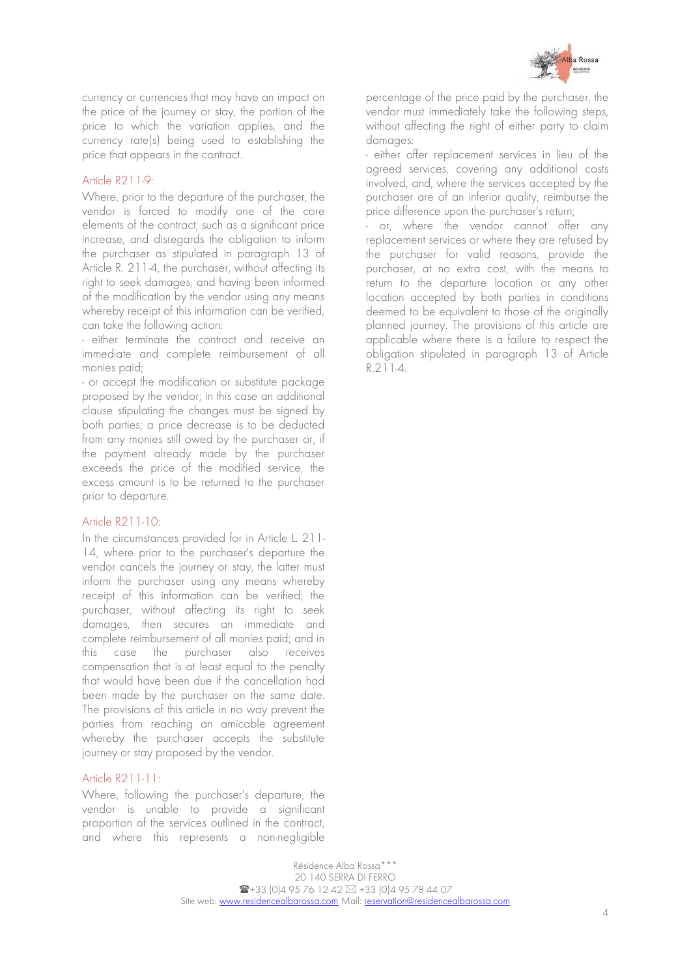

currency or currencies that may have an impact on the price of the journey or stay, the portion of the price to which the variation applies, and the currency rate(s) being used to establishing the price that appears in the contract.

#### <span id="page-3-0"></span>Article R211-9:

Where, prior to the departure of the purchaser, the vendor is forced to modify one of the core elements of the contract, such as a significant price increase, and disregards the obligation to inform the purchaser as stipulated in paragraph 13 of Article R. 211-4, the purchaser, without affecting its right to seek damages, and having been informed of the modification by the vendor using any means whereby receipt of this information can be verified, can take the following action:

- either terminate the contract and receive an immediate and complete reimbursement of all monies paid;

- or accept the modification or substitute package proposed by the vendor; in this case an additional clause stipulating the changes must be signed by both parties; a price decrease is to be deducted from any monies still owed by the purchaser or, if the payment already made by the purchaser exceeds the price of the modified service, the excess amount is to be returned to the purchaser prior to departure.

#### <span id="page-3-1"></span>Article R211-10:

In the circumstances provided for in Article L. 211- 14, where prior to the purchaser's departure the vendor cancels the journey or stay, the latter must inform the purchaser using any means whereby receipt of this information can be verified; the purchaser, without affecting its right to seek damages, then secures an immediate and complete reimbursement of all monies paid; and in this case the purchaser also receives compensation that is at least equal to the penalty that would have been due if the cancellation had been made by the purchaser on the same date. The provisions of this article in no way prevent the parties from reaching an amicable agreement whereby the purchaser accepts the substitute journey or stay proposed by the vendor.

#### <span id="page-3-2"></span>Article R211-11:

Where, following the purchaser's departure, the vendor is unable to provide a significant proportion of the services outlined in the contract, and where this represents a non-negligible percentage of the price paid by the purchaser, the vendor must immediately take the following steps, without affecting the right of either party to claim damages:

- either offer replacement services in lieu of the agreed services, covering any additional costs involved, and, where the services accepted by the purchaser are of an inferior quality, reimburse the price difference upon the purchaser's return;

- or, where the vendor cannot offer any replacement services or where they are refused by the purchaser for valid reasons, provide the purchaser, at no extra cost, with the means to return to the departure location or any other location accepted by both parties in conditions deemed to be equivalent to those of the originally planned journey. The provisions of this article are applicable where there is a failure to respect the obligation stipulated in paragraph 13 of Article R.211-4.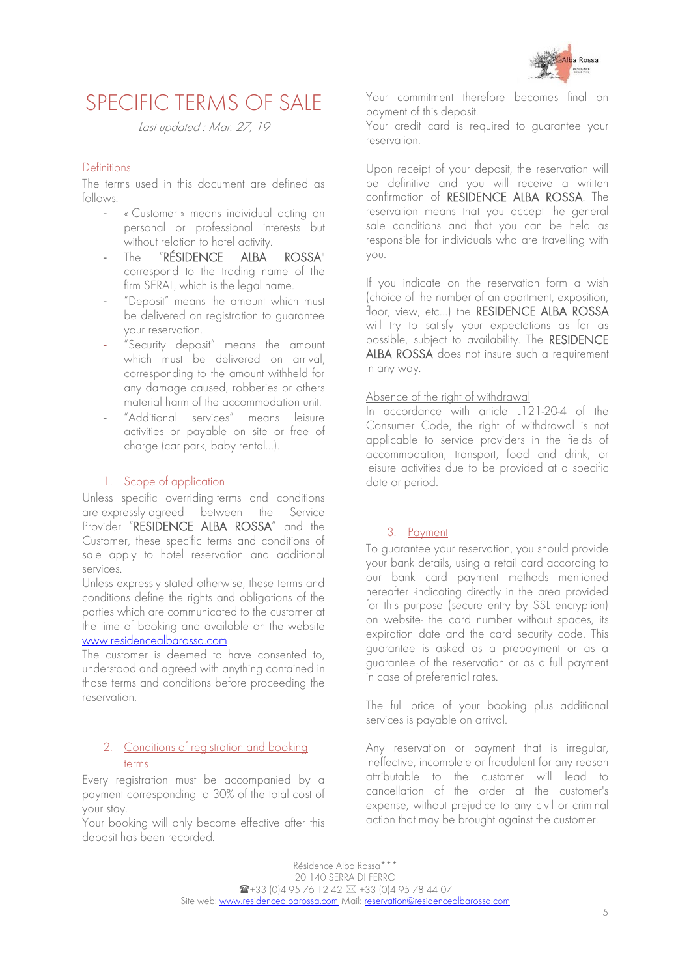

## <span id="page-4-0"></span>SPECIFIC TERMS OF SALE

Last updated : Mar. 27, 19

## <span id="page-4-1"></span>Definitions

The terms used in this document are defined as follows:

- « Customer » means individual acting on personal or professional interests but without relation to hotel activity.
- The "RÉSIDENCE ALBA ROSSA" correspond to the trading name of the firm SERAL, which is the legal name.
- "Deposit" means the amount which must be delivered on registration to guarantee your reservation.
- "Security deposit" means the amount which must be delivered on arrival, corresponding to the amount withheld for any damage caused, robberies or others material harm of the accommodation unit.
- "Additional services" means leisure activities or payable on site or free of charge (car park, baby rental…).

## 1. Scope of application

<span id="page-4-2"></span>Unless specific overriding terms and conditions are expressly agreed between the Service Provider "RESIDENCE ALBA ROSSA" and the Customer, these specific terms and conditions of sale apply to hotel reservation and additional services.

Unless expressly stated otherwise, these terms and conditions define the rights and obligations of the parties which are communicated to the customer at the time of booking and available on the website [www.residencealbarossa.com](http://www.residencealbarossa.com/)

The customer is deemed to have consented to, understood and agreed with anything contained in those terms and conditions before proceeding the reservation.

## <span id="page-4-3"></span>2. Conditions of registration and booking terms

Every registration must be accompanied by a payment corresponding to 30% of the total cost of your stay.

Your booking will only become effective after this deposit has been recorded.

Your commitment therefore becomes final on payment of this deposit.

Your credit card is required to guarantee your reservation.

Upon receipt of your deposit, the reservation will be definitive and you will receive a written confirmation of RESIDENCE ALBA ROSSA. The reservation means that you accept the general sale conditions and that you can be held as responsible for individuals who are travelling with you.

If you indicate on the reservation form a wish (choice of the number of an apartment, exposition, floor, view, etc...) the RESIDENCE ALBA ROSSA will try to satisfy your expectations as far as possible, subject to availability. The RESIDENCE ALBA ROSSA does not insure such a requirement in any way.

#### Absence of the right of withdrawal

In accordance with article L121-20-4 of the Consumer Code, the right of withdrawal is not applicable to service providers in the fields of accommodation, transport, food and drink, or leisure activities due to be provided at a specific date or period.

## 3. Payment

<span id="page-4-4"></span>To guarantee your reservation, you should provide your bank details, using a retail card according to our bank card payment methods mentioned hereafter -indicating directly in the area provided for this purpose (secure entry by SSL encryption) on website- the card number without spaces, its expiration date and the card security code. This guarantee is asked as a prepayment or as a guarantee of the reservation or as a full payment in case of preferential rates.

The full price of your booking plus additional services is payable on arrival.

Any reservation or payment that is irregular, ineffective, incomplete or fraudulent for any reason attributable to the customer will lead to cancellation of the order at the customer's expense, without prejudice to any civil or criminal action that may be brought against the customer.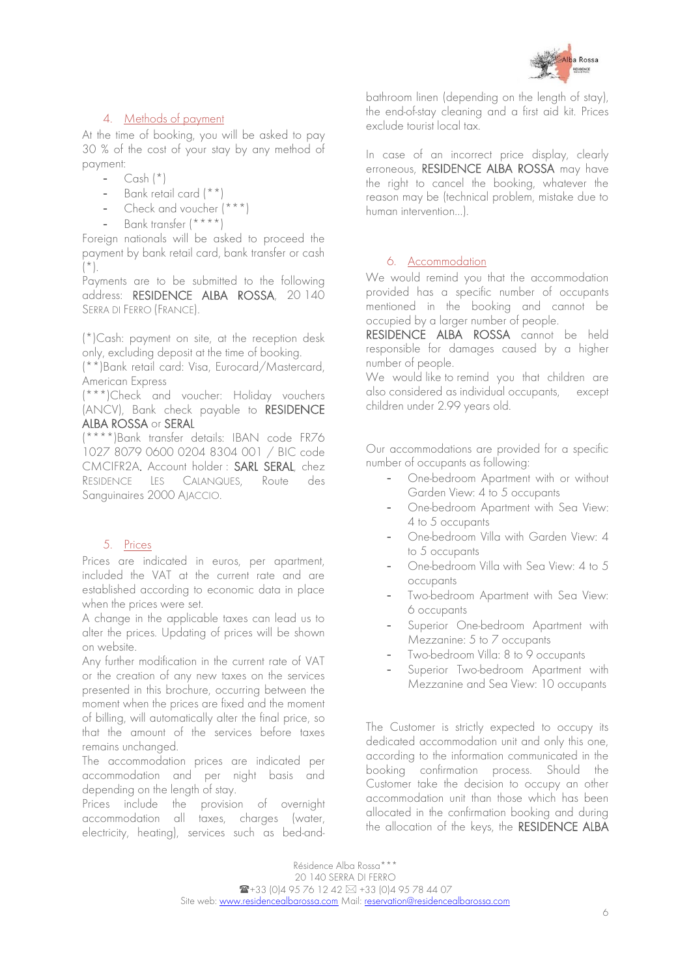

## 4. Methods of payment

<span id="page-5-0"></span>At the time of booking, you will be asked to pay 30 % of the cost of your stay by any method of payment:

- $-$  Cash  $(*)$
- Bank retail card (\*\*)
- Check and voucher (\*\*\*)
- Bank transfer (\*\*\*\*)

Foreign nationals will be asked to proceed the payment by bank retail card, bank transfer or cash  $(\star)$ .

Payments are to be submitted to the following address: RESIDENCE ALBA ROSSA, 20 140 SERRA DI FERRO (FRANCE).

(\*)Cash: payment on site, at the reception desk only, excluding deposit at the time of booking.

(\*\*)Bank retail card: Visa, Eurocard/Mastercard, American Express

(\*\*\*)Check and voucher: Holiday vouchers (ANCV), Bank check payable to RESIDENCE ALBA ROSSA or SERAL

(\*\*\*\*)Bank transfer details: IBAN code FR76 1027 8079 0600 0204 8304 001 / BIC code CMCIFR2A. Account holder : SARL SERAL, chez RESIDENCE LES CALANQUES, Route des Sanguinaires 2000 AJACCIO.

## 5. Prices

<span id="page-5-1"></span>Prices are indicated in euros, per apartment, included the VAT at the current rate and are established according to economic data in place when the prices were set.

A change in the applicable taxes can lead us to alter the prices. Updating of prices will be shown on website.

Any further modification in the current rate of VAT or the creation of any new taxes on the services presented in this brochure, occurring between the moment when the prices are fixed and the moment of billing, will automatically alter the final price, so that the amount of the services before taxes remains unchanged.

The accommodation prices are indicated per accommodation and per night basis and depending on the length of stay.

Prices include the provision of overnight accommodation all taxes, charges (water, electricity, heating), services such as bed-and-

bathroom linen (depending on the length of stay), the end-of-stay cleaning and a first aid kit. Prices exclude tourist local tax.

In case of an incorrect price display, clearly erroneous, RESIDENCE ALBA ROSSA may have the right to cancel the booking, whatever the reason may be (technical problem, mistake due to human intervention…).

## <span id="page-5-2"></span>6. Accommodation

We would remind you that the accommodation provided has a specific number of occupants mentioned in the booking and cannot be occupied by a larger number of people.

RESIDENCE ALBA ROSSA cannot be held responsible for damages caused by a higher number of people.

We would like to remind you that children are also considered as individual occupants, except children under 2.99 years old.

Our accommodations are provided for a specific number of occupants as following:

- One-bedroom Apartment with or without Garden View: 4 to 5 occupants
- One-bedroom Apartment with Sea View: 4 to 5 occupants
- One-bedroom Villa with Garden View: 4 to 5 occupants
- One-bedroom Villa with Sea View: 4 to 5 occupants
- Two-bedroom Apartment with Sea View: 6 occupants
- Superior One-bedroom Apartment with Mezzanine: 5 to 7 occupants
- Two-bedroom Villa: 8 to 9 occupants
- Superior Two-bedroom Apartment with Mezzanine and Sea View: 10 occupants

The Customer is strictly expected to occupy its dedicated accommodation unit and only this one, according to the information communicated in the booking confirmation process. Should the Customer take the decision to occupy an other accommodation unit than those which has been allocated in the confirmation booking and during the allocation of the keys, the RESIDENCE ALBA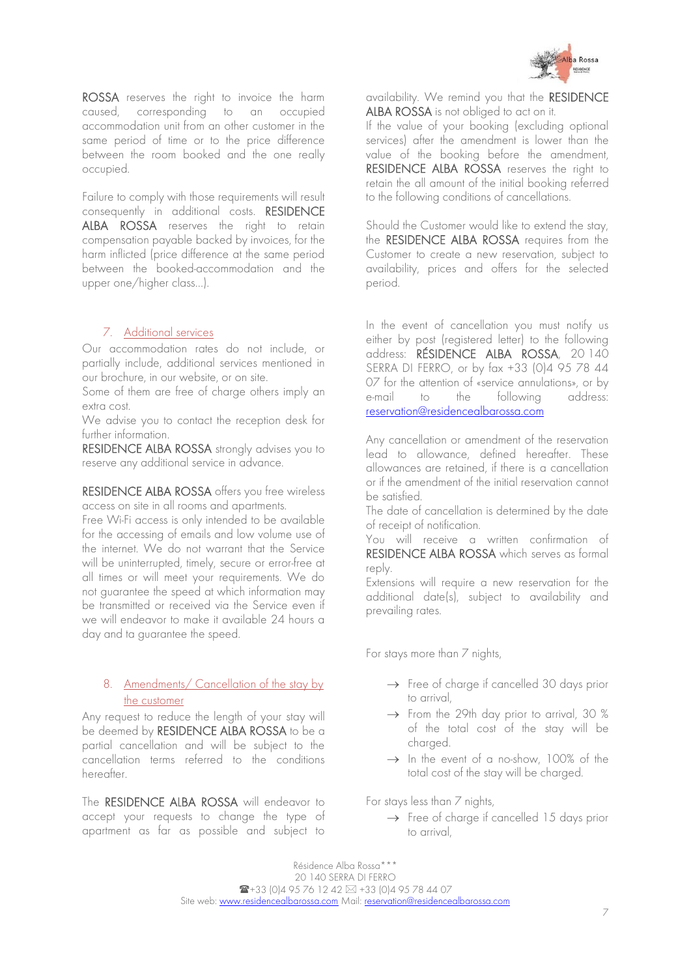

ROSSA reserves the right to invoice the harm caused, corresponding to an occupied accommodation unit from an other customer in the same period of time or to the price difference between the room booked and the one really occupied.

Failure to comply with those requirements will result consequently in additional costs. RESIDENCE ALBA ROSSA reserves the right to retain compensation payable backed by invoices, for the harm inflicted (price difference at the same period between the booked-accommodation and the upper one/higher class…).

#### <span id="page-6-0"></span>7. Additional services

Our accommodation rates do not include, or partially include, additional services mentioned in our brochure, in our website, or on site.

Some of them are free of charge others imply an extra cost.

We advise you to contact the reception desk for further information.

RESIDENCE ALBA ROSSA strongly advises you to reserve any additional service in advance.

RESIDENCE ALBA ROSSA offers you free wireless access on site in all rooms and apartments.

Free Wi-Fi access is only intended to be available for the accessing of emails and low volume use of the internet. We do not warrant that the Service will be uninterrupted, timely, secure or error-free at all times or will meet your requirements. We do not guarantee the speed at which information may be transmitted or received via the Service even if we will endeavor to make it available 24 hours a day and ta guarantee the speed.

#### <span id="page-6-1"></span>8. Amendments/ Cancellation of the stay by the customer

Any request to reduce the length of your stay will be deemed by RESIDENCE ALBA ROSSA to be a partial cancellation and will be subject to the cancellation terms referred to the conditions hereafter.

The RESIDENCE ALBA ROSSA will endeavor to accept your requests to change the type of apartment as far as possible and subject to

availability. We remind you that the RESIDENCE ALBA ROSSA is not obliged to act on it.

If the value of your booking (excluding optional services) after the amendment is lower than the value of the booking before the amendment, RESIDENCE ALBA ROSSA reserves the right to retain the all amount of the initial booking referred to the following conditions of cancellations.

Should the Customer would like to extend the stay, the RESIDENCE ALBA ROSSA requires from the Customer to create a new reservation, subject to availability, prices and offers for the selected period.

In the event of cancellation you must notify us either by post (registered letter) to the following address: RÉSIDENCE ALBA ROSSA, 20 140 SERRA DI FERRO, or by fax +33 (0)4 95 78 44 07 for the attention of «service annulations», or by e-mail to the following address: reservation@residencealbarossa.com

Any cancellation or amendment of the reservation lead to allowance, defined hereafter. These allowances are retained, if there is a cancellation or if the amendment of the initial reservation cannot be satisfied.

The date of cancellation is determined by the date of receipt of notification.

You will receive a written confirmation of RESIDENCE ALBA ROSSA which serves as formal reply.

Extensions will require a new reservation for the additional date(s), subject to availability and prevailing rates.

For stays more than 7 nights,

- $\rightarrow$  Free of charge if cancelled 30 days prior to arrival,
- $\rightarrow$  From the 29th day prior to arrival, 30 % of the total cost of the stay will be charged.
- $\rightarrow$  In the event of a no-show, 100% of the total cost of the stay will be charged.

For stays less than 7 nights,

 $\rightarrow$  Free of charge if cancelled 15 days prior to arrival,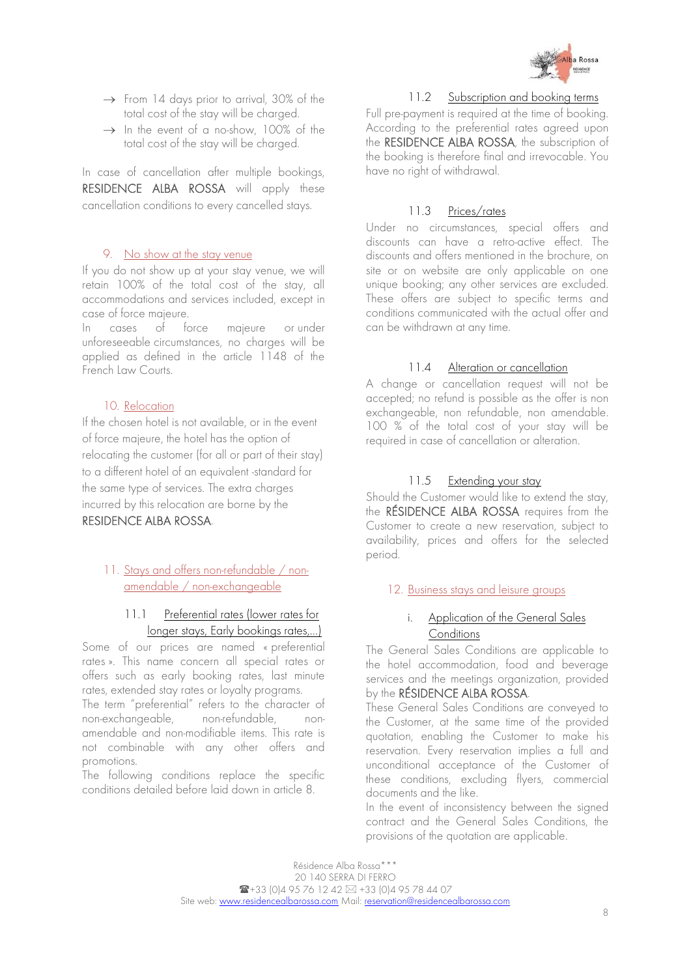

- $\rightarrow$  From 14 days prior to arrival, 30% of the total cost of the stay will be charged.
- $\rightarrow$  In the event of a no-show, 100% of the total cost of the stay will be charged.

In case of cancellation after multiple bookings, RESIDENCE ALBA ROSSA will apply these cancellation conditions to every cancelled stays.

#### 9. No show at the stay venue

<span id="page-7-0"></span>If you do not show up at your stay venue, we will retain 100% of the total cost of the stay, all accommodations and services included, except in case of force majeure.

In cases of force majeure or under unforeseeable circumstances, no charges will be applied as defined in the article 1148 of the French Law Courts.

#### 10. Relocation

<span id="page-7-1"></span>If the chosen hotel is not available, or in the event of force majeure, the hotel has the option of relocating the customer (for all or part of their stay) to a different hotel of an equivalent -standard for the same type of services. The extra charges incurred by this relocation are borne by the RESIDENCE ALBA ROSSA.

## <span id="page-7-2"></span>11. Stays and offers non-refundable / nonamendable / non-exchangeable

## 11.1 Preferential rates (lower rates for longer stays, Early bookings rates,…)

Some of our prices are named « preferential rates ». This name concern all special rates or offers such as early booking rates, last minute rates, extended stay rates or loyalty programs.

The term "preferential" refers to the character of non-exchangeable, non-refundable, nonamendable and non-modifiable items. This rate is not combinable with any other offers and promotions.

The following conditions replace the specific conditions detailed before laid down in article 8.

#### 11.2 Subscription and booking terms

Full pre-payment is required at the time of booking. According to the preferential rates agreed upon the RESIDENCE ALBA ROSSA, the subscription of the booking is therefore final and irrevocable. You have no right of withdrawal.

#### 11.3 Prices/rates

Under no circumstances, special offers and discounts can have a retro-active effect. The discounts and offers mentioned in the brochure, on site or on website are only applicable on one unique booking; any other services are excluded. These offers are subject to specific terms and conditions communicated with the actual offer and can be withdrawn at any time.

#### 11.4 Alteration or cancellation

A change or cancellation request will not be accepted; no refund is possible as the offer is non exchangeable, non refundable, non amendable. 100 % of the total cost of your stay will be required in case of cancellation or alteration.

## 11.5 Extending your stay

Should the Customer would like to extend the stay, the RÉSIDENCE ALBA ROSSA requires from the Customer to create a new reservation, subject to availability, prices and offers for the selected period.

#### <span id="page-7-3"></span>12. Business stays and leisure groups

## i. Application of the General Sales **Conditions**

The General Sales Conditions are applicable to the hotel accommodation, food and beverage services and the meetings organization, provided by the RÉSIDENCE ALBA ROSSA.

These General Sales Conditions are conveyed to the Customer, at the same time of the provided quotation, enabling the Customer to make his reservation. Every reservation implies a full and unconditional acceptance of the Customer of these conditions, excluding flyers, commercial documents and the like.

In the event of inconsistency between the signed contract and the General Sales Conditions, the provisions of the quotation are applicable.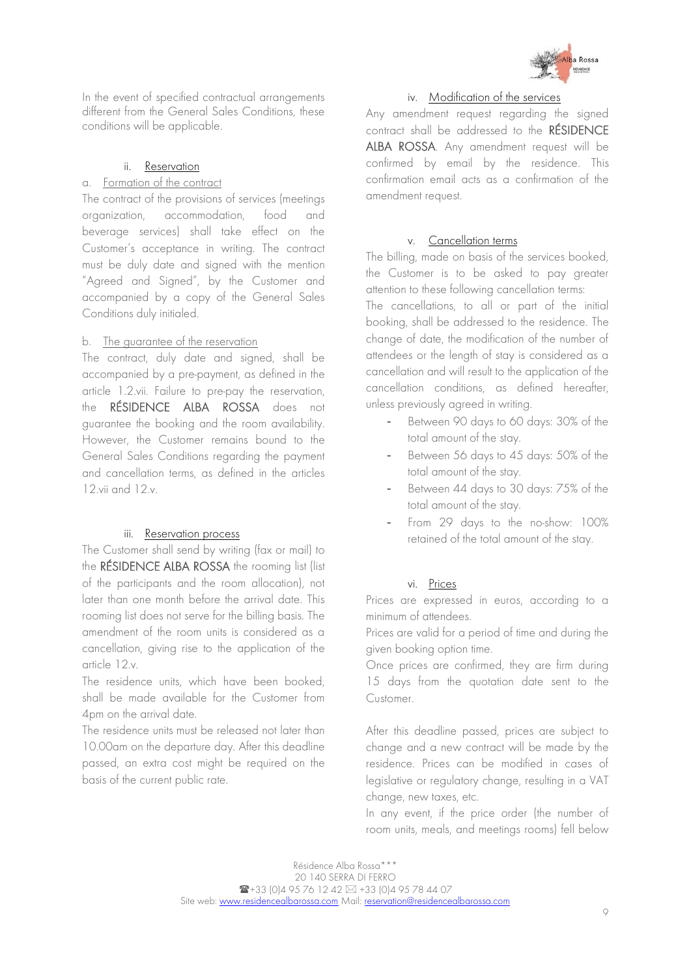

In the event of specified contractual arrangements different from the General Sales Conditions, these conditions will be applicable.

#### ii. Reservation

#### a. Formation of the contract

The contract of the provisions of services (meetings organization, accommodation, food and beverage services) shall take effect on the Customer's acceptance in writing. The contract must be duly date and signed with the mention "Agreed and Signed", by the Customer and accompanied by a copy of the General Sales Conditions duly initialed.

#### b. The guarantee of the reservation

The contract, duly date and signed, shall be accompanied by a pre-payment, as defined in the article 1.2.vii. Failure to pre-pay the reservation, the RÉSIDENCE ALBA ROSSA does not guarantee the booking and the room availability. However, the Customer remains bound to the General Sales Conditions regarding the payment and cancellation terms, as defined in the articles 12.vii and 12.v.

#### iii. Reservation process

The Customer shall send by writing (fax or mail) to the RÉSIDENCE ALBA ROSSA the rooming list (list of the participants and the room allocation), not later than one month before the arrival date. This rooming list does not serve for the billing basis. The amendment of the room units is considered as a cancellation, giving rise to the application of the article 12.v.

The residence units, which have been booked, shall be made available for the Customer from 4pm on the arrival date.

The residence units must be released not later than 10.00am on the departure day. After this deadline passed, an extra cost might be required on the basis of the current public rate.

## iv. Modification of the services

Any amendment request regarding the signed contract shall be addressed to the RÉSIDENCE ALBA ROSSA. Any amendment request will be confirmed by email by the residence. This confirmation email acts as a confirmation of the amendment request.

#### v. Cancellation terms

The billing, made on basis of the services booked, the Customer is to be asked to pay greater attention to these following cancellation terms:

The cancellations, to all or part of the initial booking, shall be addressed to the residence. The change of date, the modification of the number of attendees or the length of stay is considered as a cancellation and will result to the application of the cancellation conditions, as defined hereafter, unless previously agreed in writing.

- Between 90 days to 60 days: 30% of the total amount of the stay.
- Between 56 days to 45 days: 50% of the total amount of the stay.
- Between 44 days to 30 days: 75% of the total amount of the stay.
- From 29 days to the no-show: 100% retained of the total amount of the stay.

#### vi. Prices

Prices are expressed in euros, according to a minimum of attendees.

Prices are valid for a period of time and during the given booking option time.

Once prices are confirmed, they are firm during 15 days from the quotation date sent to the Customer.

After this deadline passed, prices are subject to change and a new contract will be made by the residence. Prices can be modified in cases of legislative or regulatory change, resulting in a VAT change, new taxes, etc.

In any event, if the price order (the number of room units, meals, and meetings rooms) fell below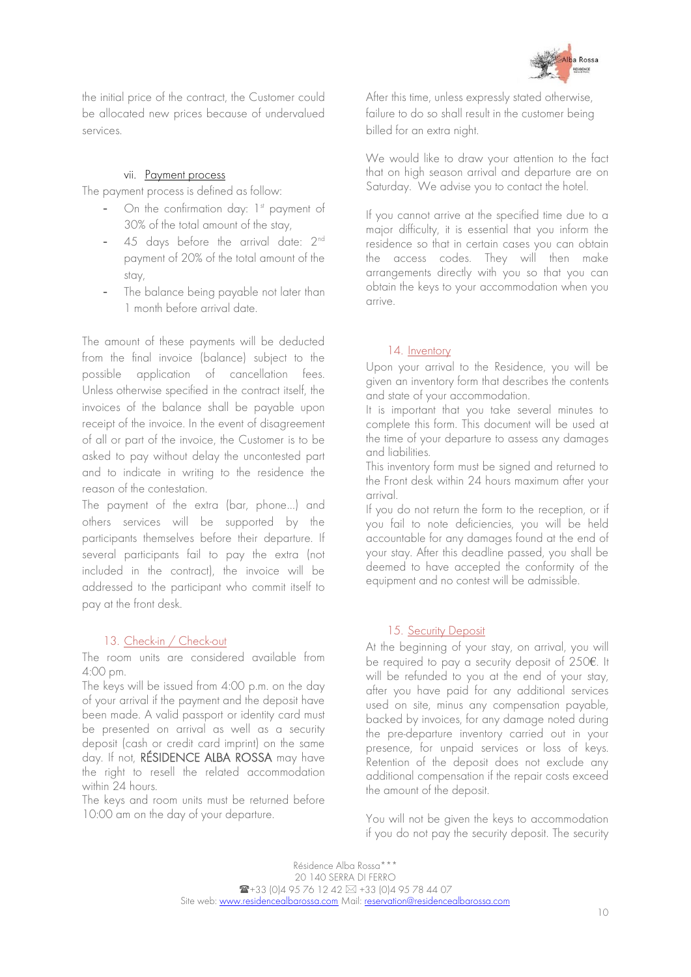

the initial price of the contract, the Customer could be allocated new prices because of undervalued services.

#### vii. Payment process

The payment process is defined as follow:

- On the confirmation day: 1st payment of 30% of the total amount of the stay,
- 45 days before the arrival date: 2<sup>nd</sup> payment of 20% of the total amount of the stay,
- The balance being payable not later than 1 month before arrival date.

The amount of these payments will be deducted from the final invoice (balance) subject to the possible application of cancellation fees. Unless otherwise specified in the contract itself, the invoices of the balance shall be payable upon receipt of the invoice. In the event of disagreement of all or part of the invoice, the Customer is to be asked to pay without delay the uncontested part and to indicate in writing to the residence the reason of the contestation.

The payment of the extra (bar, phone…) and others services will be supported by the participants themselves before their departure. If several participants fail to pay the extra (not included in the contract), the invoice will be addressed to the participant who commit itself to pay at the front desk.

## 13. Check-in / Check-out

<span id="page-9-0"></span>The room units are considered available from 4:00 pm.

The keys will be issued from 4:00 p.m. on the day of your arrival if the payment and the deposit have been made. A valid passport or identity card must be presented on arrival as well as a security deposit (cash or credit card imprint) on the same day. If not, RÉSIDENCE ALBA ROSSA may have the right to resell the related accommodation within 24 hours.

The keys and room units must be returned before 10:00 am on the day of your departure.

After this time, unless expressly stated otherwise, failure to do so shall result in the customer being billed for an extra night.

We would like to draw your attention to the fact that on high season arrival and departure are on Saturday. We advise you to contact the hotel.

If you cannot arrive at the specified time due to a major difficulty, it is essential that you inform the residence so that in certain cases you can obtain the access codes. They will then make arrangements directly with you so that you can obtain the keys to your accommodation when you arrive.

#### 14. Inventory

<span id="page-9-1"></span>Upon your arrival to the Residence, you will be given an inventory form that describes the contents and state of your accommodation.

It is important that you take several minutes to complete this form. This document will be used at the time of your departure to assess any damages and liabilities.

This inventory form must be signed and returned to the Front desk within 24 hours maximum after your arrival.

If you do not return the form to the reception, or if you fail to note deficiencies, you will be held accountable for any damages found at the end of your stay. After this deadline passed, you shall be deemed to have accepted the conformity of the equipment and no contest will be admissible.

## 15. Security Deposit

<span id="page-9-2"></span>At the beginning of your stay, on arrival, you will be required to pay a security deposit of 250€. It will be refunded to you at the end of your stay, after you have paid for any additional services used on site, minus any compensation payable, backed by invoices, for any damage noted during the pre-departure inventory carried out in your presence, for unpaid services or loss of keys. Retention of the deposit does not exclude any additional compensation if the repair costs exceed the amount of the deposit.

You will not be given the keys to accommodation if you do not pay the security deposit. The security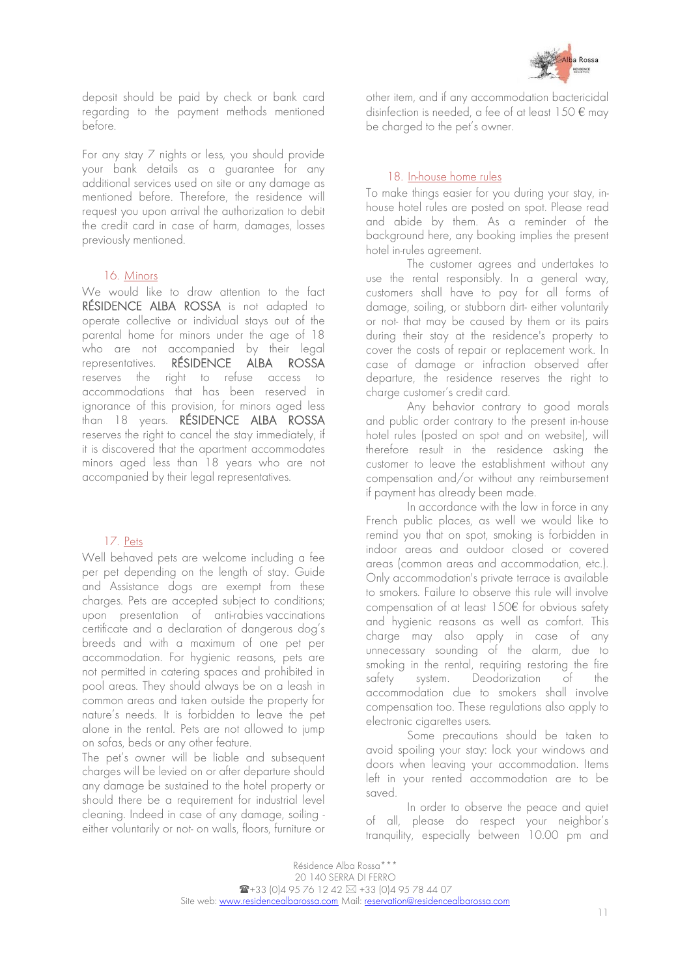

deposit should be paid by check or bank card regarding to the payment methods mentioned before.

For any stay 7 nights or less, you should provide your bank details as a guarantee for any additional services used on site or any damage as mentioned before. Therefore, the residence will request you upon arrival the authorization to debit the credit card in case of harm, damages, losses previously mentioned.

#### 16. Minors

<span id="page-10-0"></span>We would like to draw attention to the fact RÉSIDENCE ALBA ROSSA is not adapted to operate collective or individual stays out of the parental home for minors under the age of 18 who are not accompanied by their legal representatives. RÉSIDENCE ALBA ROSSA reserves the right to refuse access to accommodations that has been reserved in ignorance of this provision, for minors aged less than 18 years. RÉSIDENCE ALBA ROSSA reserves the right to cancel the stay immediately, if it is discovered that the apartment accommodates minors aged less than 18 years who are not accompanied by their legal representatives.

#### 17. Pets

<span id="page-10-1"></span>Well behaved pets are welcome including a fee per pet depending on the length of stay. Guide and Assistance dogs are exempt from these charges. Pets are accepted subject to conditions; upon presentation of anti-rabies vaccinations certificate and a declaration of dangerous dog's breeds and with a maximum of one pet per accommodation. For hygienic reasons, pets are not permitted in catering spaces and prohibited in pool areas. They should always be on a leash in common areas and taken outside the property for nature's needs. It is forbidden to leave the pet alone in the rental. Pets are not allowed to jump on sofas, beds or any other feature.

The pet's owner will be liable and subsequent charges will be levied on or after departure should any damage be sustained to the hotel property or should there be a requirement for industrial level cleaning. Indeed in case of any damage, soiling either voluntarily or not- on walls, floors, furniture or

other item, and if any accommodation bactericidal disinfection is needed, a fee of at least  $150 \text{ } \epsilon$  may be charged to the pet's owner.

#### 18. In-house home rules

<span id="page-10-2"></span>To make things easier for you during your stay, inhouse hotel rules are posted on spot. Please read and abide by them. As a reminder of the background here, any booking implies the present hotel in-rules agreement.

The customer agrees and undertakes to use the rental responsibly. In a general way, customers shall have to pay for all forms of damage, soiling, or stubborn dirt- either voluntarily or not- that may be caused by them or its pairs during their stay at the residence's property to cover the costs of repair or replacement work. In case of damage or infraction observed after departure, the residence reserves the right to charge customer's credit card.

Any behavior contrary to good morals and public order contrary to the present in-house hotel rules (posted on spot and on website), will therefore result in the residence asking the customer to leave the establishment without any compensation and/or without any reimbursement if payment has already been made.

In accordance with the law in force in any French public places, as well we would like to remind you that on spot, smoking is forbidden in indoor areas and outdoor closed or covered areas (common areas and accommodation, etc.). Only accommodation's private terrace is available to smokers. Failure to observe this rule will involve compensation of at least 150€ for obvious safety and hygienic reasons as well as comfort. This charge may also apply in case of any unnecessary sounding of the alarm, due to smoking in the rental, requiring restoring the fire safety system. Deodorization of the accommodation due to smokers shall involve compensation too. These regulations also apply to electronic cigarettes users.

Some precautions should be taken to avoid spoiling your stay: lock your windows and doors when leaving your accommodation. Items left in your rented accommodation are to be saved.

In order to observe the peace and quiet of all, please do respect your neighbor's tranquility, especially between 10.00 pm and